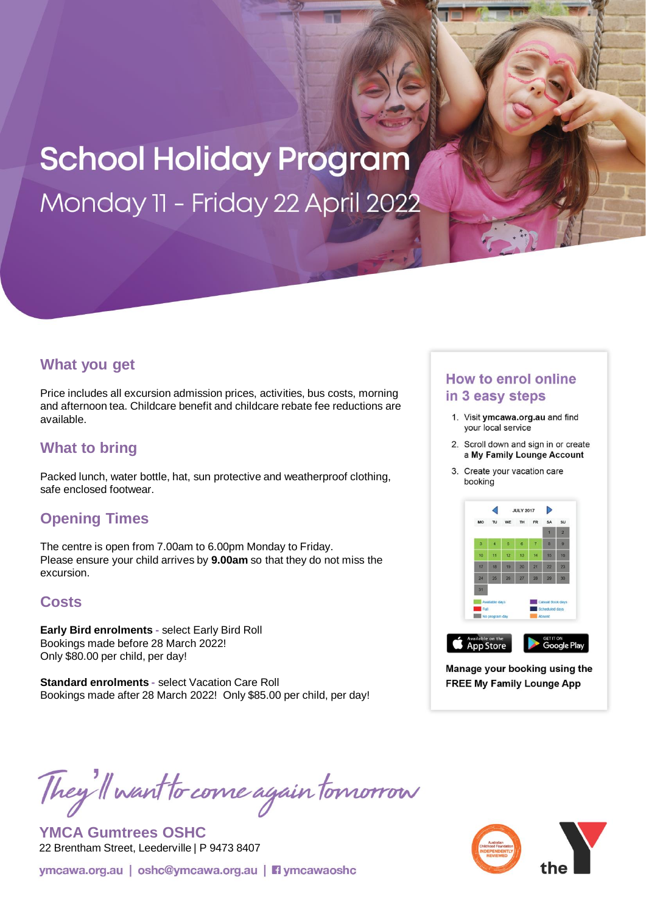# **School Holiday Program** Monday 11 - Friday 22 April 2022

## **What you get**

Price includes all excursion admission prices, activities, bus costs, morning and afternoon tea. Childcare benefit and childcare rebate fee reductions are available.

## **What to bring**

Packed lunch, water bottle, hat, sun protective and weatherproof clothing, safe enclosed footwear.

## **Opening Times**

The centre is open from 7.00am to 6.00pm Monday to Friday. Please ensure your child arrives by **9.00am** so that they do not miss the excursion.

## **Costs**

**Early Bird enrolments -** select Early Bird Roll Bookings made before 28 March 2022! Only \$80.00 per child, per day!

**Standard enrolments -** select Vacation Care Roll Bookings made after 28 March 2022! Only \$85.00 per child, per day!

## **How to enrol online** in 3 easy steps

- 1. Visit ymcawa.org.au and find your local service
- 2. Scroll down and sign in or create a My Family Lounge Account
- 3. Create your vacation care booking



Manage your booking using the **FREE My Family Lounge App** 

They'll want to come again tomorrow

**YMCA Gumtrees OSHC** 22 Brentham Street, Leederville | P 9473 8407

ymcawa.org.au | oshc@ymcawa.org.au | **Fi** ymcawaoshc